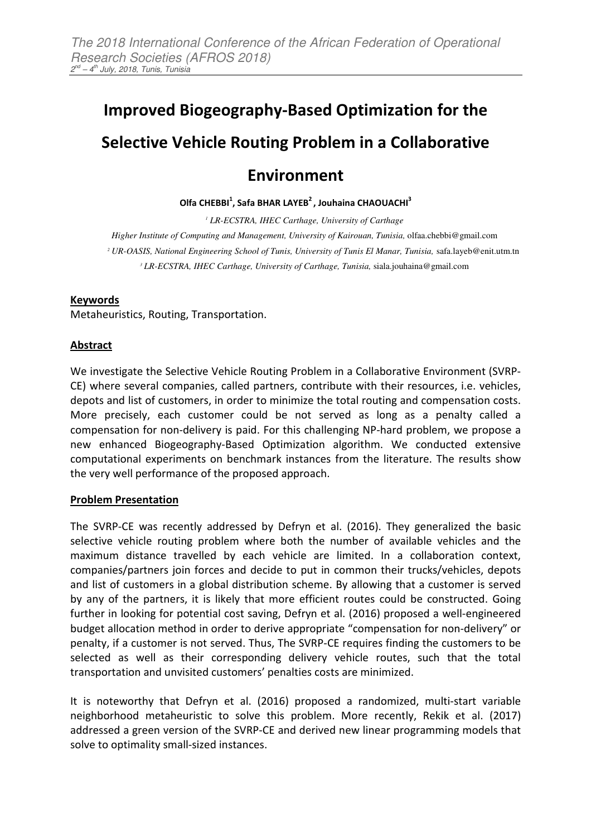# **Improved Biogeography-Based Optimization for the**

## **Selective Vehicle Routing Problem in a Collaborative**

### **Environment**

**Olfa CHEBBI<sup>1</sup> , Safa BHAR LAYEB<sup>2</sup>, Jouhaina CHAOUACHI<sup>3</sup>** 

  *LR-ECSTRA, IHEC Carthage, University of Carthage Higher Institute of Computing and Management, University of Kairouan, Tunisia,* olfaa.chebbi@gmail.com *UR-OASIS, National Engineering School of Tunis, University of Tunis El Manar, Tunisia,* safa.layeb@enit.utm.tn *LR-ECSTRA, IHEC Carthage, University of Carthage, Tunisia,* siala.jouhaina@gmail.com

#### **Keywords**

Metaheuristics, Routing, Transportation.

#### **Abstract**

We investigate the Selective Vehicle Routing Problem in a Collaborative Environment (SVRP-CE) where several companies, called partners, contribute with their resources, i.e. vehicles, depots and list of customers, in order to minimize the total routing and compensation costs. More precisely, each customer could be not served as long as a penalty called a compensation for non-delivery is paid. For this challenging NP-hard problem, we propose a new enhanced Biogeography-Based Optimization algorithm. We conducted extensive computational experiments on benchmark instances from the literature. The results show the very well performance of the proposed approach.

#### **Problem Presentation**

The SVRP-CE was recently addressed by Defryn et al. (2016). They generalized the basic selective vehicle routing problem where both the number of available vehicles and the maximum distance travelled by each vehicle are limited. In a collaboration context, companies/partners join forces and decide to put in common their trucks/vehicles, depots and list of customers in a global distribution scheme. By allowing that a customer is served by any of the partners, it is likely that more efficient routes could be constructed. Going further in looking for potential cost saving, Defryn et al. (2016) proposed a well-engineered budget allocation method in order to derive appropriate "compensation for non-delivery" or penalty, if a customer is not served. Thus, The SVRP-CE requires finding the customers to be selected as well as their corresponding delivery vehicle routes, such that the total transportation and unvisited customers' penalties costs are minimized.

It is noteworthy that Defryn et al. (2016) proposed a randomized, multi-start variable neighborhood metaheuristic to solve this problem. More recently, Rekik et al. (2017) addressed a green version of the SVRP-CE and derived new linear programming models that solve to optimality small-sized instances.